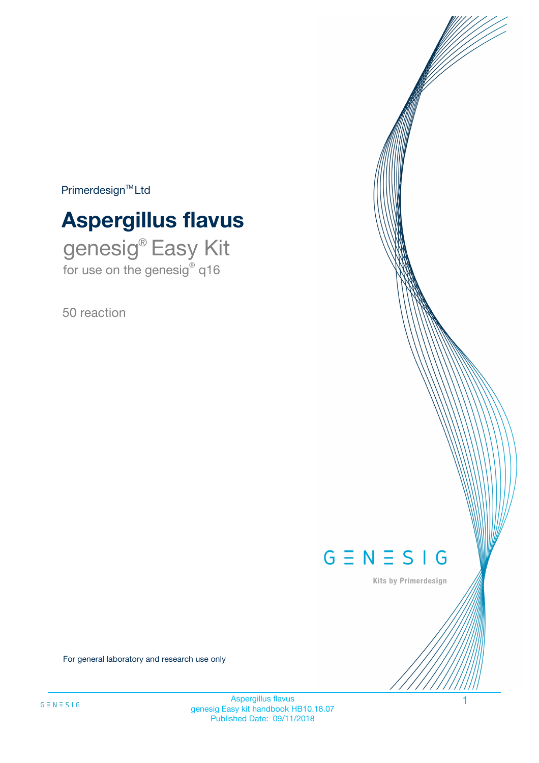$Primerdesign^{\text{TM}}Ltd$ 

# **Aspergillus flavus**

genesig® Easy Kit for use on the genesig® q16

50 reaction



Kits by Primerdesign

For general laboratory and research use only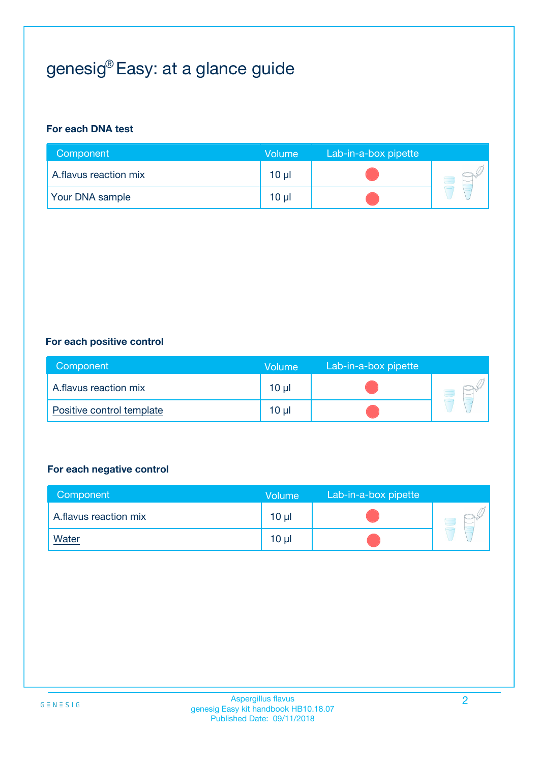# genesig® Easy: at a glance guide

#### **For each DNA test**

| Component              | <b>Volume</b> | Lab-in-a-box pipette |  |
|------------------------|---------------|----------------------|--|
| A.flavus reaction mix  | 10 µl         |                      |  |
| <b>Your DNA sample</b> | $10 \mu$      |                      |  |

#### **For each positive control**

| Component                 | Volume          | Lab-in-a-box pipette |  |
|---------------------------|-----------------|----------------------|--|
| A.flavus reaction mix     | $10 \mu$        |                      |  |
| Positive control template | 10 <sub>µ</sub> |                      |  |

#### **For each negative control**

| Component             | Volume          | Lab-in-a-box pipette |  |
|-----------------------|-----------------|----------------------|--|
| A.flavus reaction mix | 10 <sub>µ</sub> |                      |  |
| <b>Water</b>          | 10 <sub>µ</sub> |                      |  |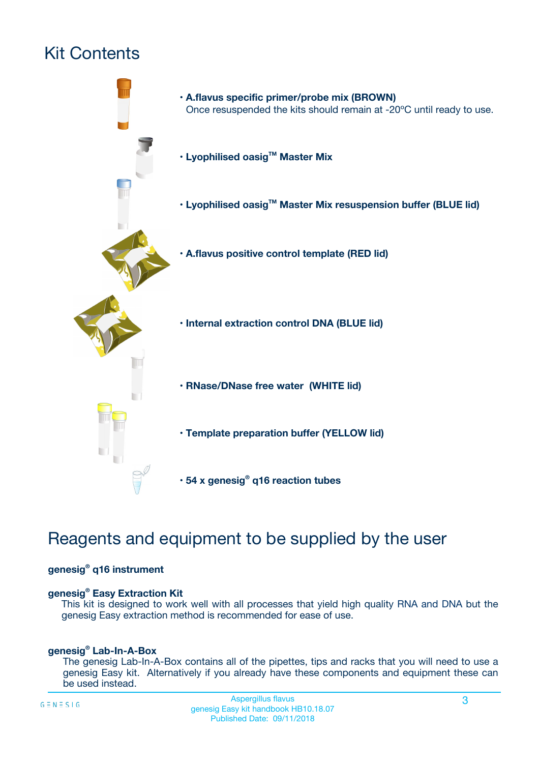# Kit Contents



### Reagents and equipment to be supplied by the user

#### **genesig® q16 instrument**

#### **genesig® Easy Extraction Kit**

This kit is designed to work well with all processes that yield high quality RNA and DNA but the genesig Easy extraction method is recommended for ease of use.

#### **genesig® Lab-In-A-Box**

The genesig Lab-In-A-Box contains all of the pipettes, tips and racks that you will need to use a genesig Easy kit. Alternatively if you already have these components and equipment these can be used instead.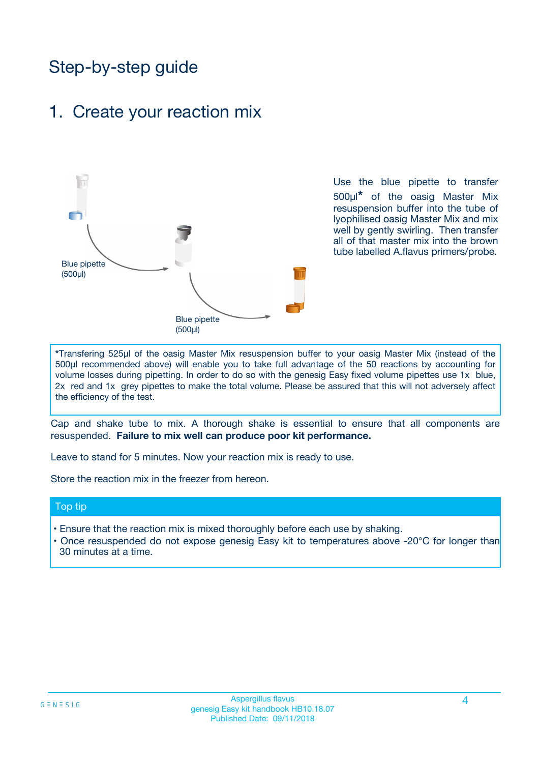### Step-by-step guide

### 1. Create your reaction mix



Use the blue pipette to transfer 500µl**\*** of the oasig Master Mix resuspension buffer into the tube of lyophilised oasig Master Mix and mix well by gently swirling. Then transfer all of that master mix into the brown tube labelled A.flavus primers/probe.

**\***Transfering 525µl of the oasig Master Mix resuspension buffer to your oasig Master Mix (instead of the 500µl recommended above) will enable you to take full advantage of the 50 reactions by accounting for volume losses during pipetting. In order to do so with the genesig Easy fixed volume pipettes use 1x blue, 2x red and 1x grey pipettes to make the total volume. Please be assured that this will not adversely affect the efficiency of the test.

Cap and shake tube to mix. A thorough shake is essential to ensure that all components are resuspended. **Failure to mix well can produce poor kit performance.**

Leave to stand for 5 minutes. Now your reaction mix is ready to use.

Store the reaction mix in the freezer from hereon.

#### Top tip

- Ensure that the reaction mix is mixed thoroughly before each use by shaking.
- **•** Once resuspended do not expose genesig Easy kit to temperatures above -20°C for longer than 30 minutes at a time.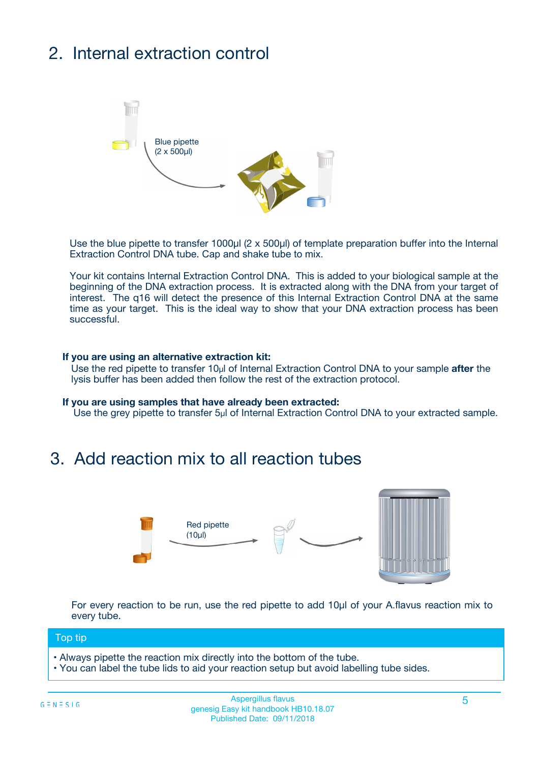# 2. Internal extraction control



Use the blue pipette to transfer 1000µl (2 x 500µl) of template preparation buffer into the Internal Extraction Control DNA tube. Cap and shake tube to mix.

Your kit contains Internal Extraction Control DNA. This is added to your biological sample at the beginning of the DNA extraction process. It is extracted along with the DNA from your target of interest. The q16 will detect the presence of this Internal Extraction Control DNA at the same time as your target. This is the ideal way to show that your DNA extraction process has been successful.

#### **If you are using an alternative extraction kit:**

Use the red pipette to transfer 10µl of Internal Extraction Control DNA to your sample **after** the lysis buffer has been added then follow the rest of the extraction protocol.

#### **If you are using samples that have already been extracted:**

Use the grey pipette to transfer 5µl of Internal Extraction Control DNA to your extracted sample.

### 3. Add reaction mix to all reaction tubes



For every reaction to be run, use the red pipette to add 10µl of your A.flavus reaction mix to every tube.

#### Top tip

- Always pipette the reaction mix directly into the bottom of the tube.
- You can label the tube lids to aid your reaction setup but avoid labelling tube sides.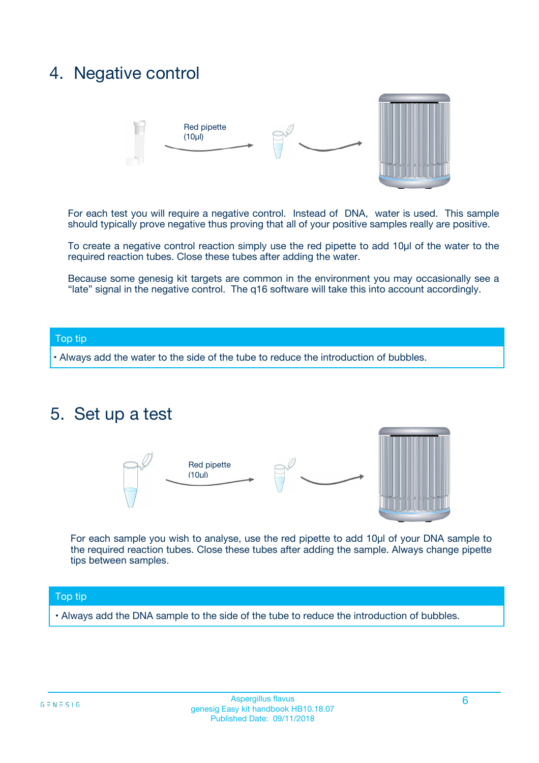### 4. Negative control



For each test you will require a negative control. Instead of DNA, water is used. This sample should typically prove negative thus proving that all of your positive samples really are positive.

To create a negative control reaction simply use the red pipette to add 10µl of the water to the required reaction tubes. Close these tubes after adding the water.

Because some genesig kit targets are common in the environment you may occasionally see a "late" signal in the negative control. The q16 software will take this into account accordingly.

#### Top tip

**•** Always add the water to the side of the tube to reduce the introduction of bubbles.

### 5. Set up a test



For each sample you wish to analyse, use the red pipette to add 10µl of your DNA sample to the required reaction tubes. Close these tubes after adding the sample. Always change pipette tips between samples.

#### Top tip

**•** Always add the DNA sample to the side of the tube to reduce the introduction of bubbles.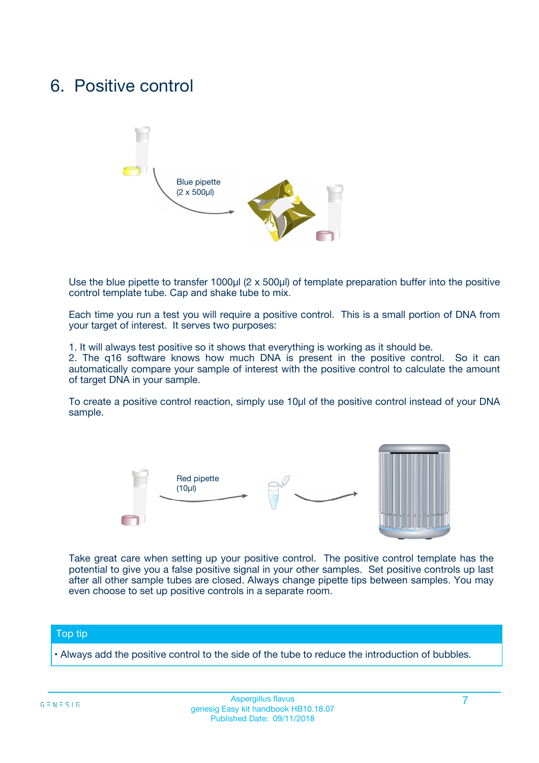### 6. Positive control



Use the blue pipette to transfer 1000µl (2 x 500µl) of template preparation buffer into the positive control template tube. Cap and shake tube to mix.

Each time you run a test you will require a positive control. This is a small portion of DNA from your target of interest. It serves two purposes:

1. It will always test positive so it shows that everything is working as it should be.

2. The q16 software knows how much DNA is present in the positive control. So it can automatically compare your sample of interest with the positive control to calculate the amount of target DNA in your sample.

To create a positive control reaction, simply use 10µl of the positive control instead of your DNA sample.



Take great care when setting up your positive control. The positive control template has the potential to give you a false positive signal in your other samples. Set positive controls up last after all other sample tubes are closed. Always change pipette tips between samples. You may even choose to set up positive controls in a separate room.

#### Top tip

**•** Always add the positive control to the side of the tube to reduce the introduction of bubbles.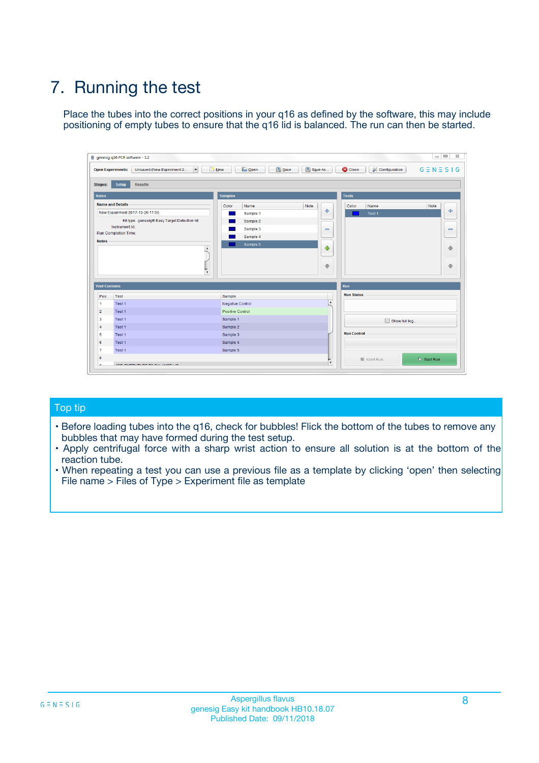# 7. Running the test

Place the tubes into the correct positions in your q16 as defined by the software, this may include positioning of empty tubes to ensure that the q16 lid is balanced. The run can then be started.

| genesig q16 PCR software - 1.2                                               |                                     | $\Box$                                                                                  |
|------------------------------------------------------------------------------|-------------------------------------|-----------------------------------------------------------------------------------------|
| Unsaved (New Experiment 2<br>$\vert \cdot \vert$<br><b>Open Experiments:</b> | <b>D</b> Open<br>Save<br>$\Box$ New | Save As<br><b>C</b> Close<br>$G \equiv N \equiv S \mid G$<br><b>&amp; Configuration</b> |
| Setup<br><b>Results</b><br><b>Stages:</b>                                    |                                     |                                                                                         |
| <b>Notes</b>                                                                 | Samples                             | <b>Tests</b>                                                                            |
| <b>Name and Details</b>                                                      | Color<br>Name                       | Note<br>Color<br>Note<br>Name                                                           |
| New Experiment 2017-10-26 11:06                                              | Sample 1                            | ع<br>条<br>Test 1                                                                        |
| Kit type: genesig® Easy Target Detection kit                                 | Sample 2                            |                                                                                         |
| Instrument Id.:                                                              | Sample 3                            | $\qquad \qquad \blacksquare$<br>$\qquad \qquad \blacksquare$                            |
| Run Completion Time:                                                         | Sample 4                            |                                                                                         |
| <b>Notes</b>                                                                 | Sample 5<br>A<br>v                  | $\triangle$<br>4<br>$\oplus$<br>₩                                                       |
| <b>Well Contents</b>                                                         |                                     | <b>Run</b>                                                                              |
| Pos.<br>Test                                                                 | Sample                              | <b>Run Status</b>                                                                       |
| Test 1<br>-1                                                                 | <b>Negative Control</b>             | $\blacktriangle$                                                                        |
| $\overline{2}$<br>Test 1                                                     | <b>Positive Control</b>             |                                                                                         |
| $\overline{\mathbf{3}}$<br>Test 1                                            | Sample 1                            | Show full log                                                                           |
| Test 1<br>$\overline{4}$                                                     | Sample 2                            |                                                                                         |
| 5<br>Test 1                                                                  | Sample 3                            | <b>Run Control</b>                                                                      |
| 6<br>Test 1                                                                  | Sample 4                            |                                                                                         |
| $\overline{7}$<br>Test 1                                                     | Sample 5                            |                                                                                         |
| 8                                                                            |                                     | $\triangleright$ Start Run<br>Abort Run                                                 |
| <b>JOD FURTY TUDE TO BUILDED IN</b>                                          |                                     | $\overline{\mathbf{v}}$                                                                 |

#### Top tip

- Before loading tubes into the q16, check for bubbles! Flick the bottom of the tubes to remove any bubbles that may have formed during the test setup.
- Apply centrifugal force with a sharp wrist action to ensure all solution is at the bottom of the reaction tube.
- When repeating a test you can use a previous file as a template by clicking 'open' then selecting File name > Files of Type > Experiment file as template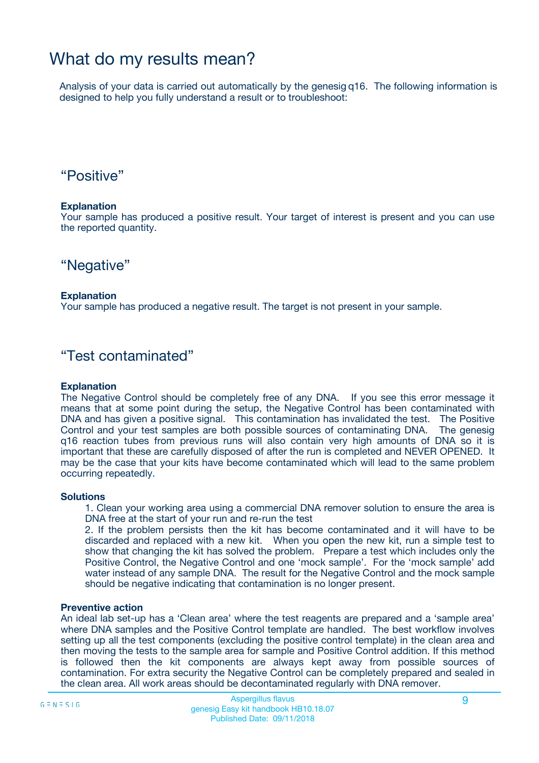### What do my results mean?

Analysis of your data is carried out automatically by the genesig q16. The following information is designed to help you fully understand a result or to troubleshoot:

### "Positive"

#### **Explanation**

Your sample has produced a positive result. Your target of interest is present and you can use the reported quantity.

"Negative"

#### **Explanation**

Your sample has produced a negative result. The target is not present in your sample.

### "Test contaminated"

#### **Explanation**

The Negative Control should be completely free of any DNA. If you see this error message it means that at some point during the setup, the Negative Control has been contaminated with DNA and has given a positive signal. This contamination has invalidated the test. The Positive Control and your test samples are both possible sources of contaminating DNA. The genesig q16 reaction tubes from previous runs will also contain very high amounts of DNA so it is important that these are carefully disposed of after the run is completed and NEVER OPENED. It may be the case that your kits have become contaminated which will lead to the same problem occurring repeatedly.

#### **Solutions**

1. Clean your working area using a commercial DNA remover solution to ensure the area is DNA free at the start of your run and re-run the test

2. If the problem persists then the kit has become contaminated and it will have to be discarded and replaced with a new kit. When you open the new kit, run a simple test to show that changing the kit has solved the problem. Prepare a test which includes only the Positive Control, the Negative Control and one 'mock sample'. For the 'mock sample' add water instead of any sample DNA. The result for the Negative Control and the mock sample should be negative indicating that contamination is no longer present.

#### **Preventive action**

An ideal lab set-up has a 'Clean area' where the test reagents are prepared and a 'sample area' where DNA samples and the Positive Control template are handled. The best workflow involves setting up all the test components (excluding the positive control template) in the clean area and then moving the tests to the sample area for sample and Positive Control addition. If this method is followed then the kit components are always kept away from possible sources of contamination. For extra security the Negative Control can be completely prepared and sealed in the clean area. All work areas should be decontaminated regularly with DNA remover.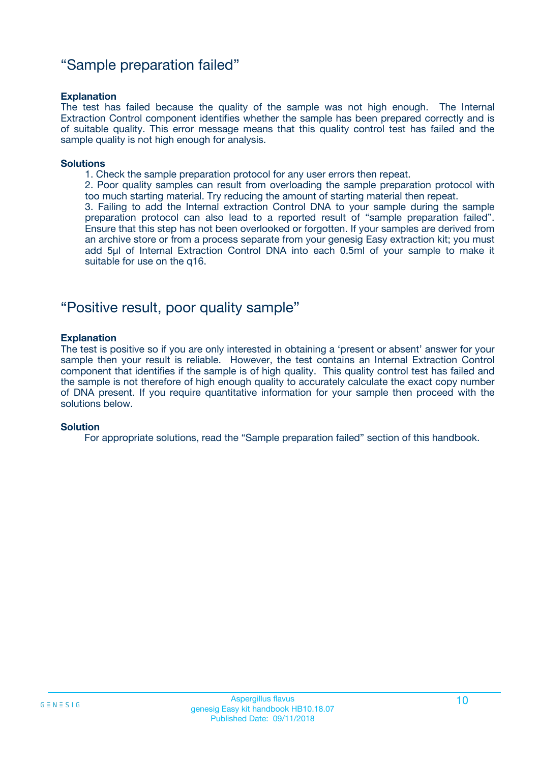### "Sample preparation failed"

#### **Explanation**

The test has failed because the quality of the sample was not high enough. The Internal Extraction Control component identifies whether the sample has been prepared correctly and is of suitable quality. This error message means that this quality control test has failed and the sample quality is not high enough for analysis.

#### **Solutions**

1. Check the sample preparation protocol for any user errors then repeat.

2. Poor quality samples can result from overloading the sample preparation protocol with too much starting material. Try reducing the amount of starting material then repeat.

3. Failing to add the Internal extraction Control DNA to your sample during the sample preparation protocol can also lead to a reported result of "sample preparation failed". Ensure that this step has not been overlooked or forgotten. If your samples are derived from an archive store or from a process separate from your genesig Easy extraction kit; you must add 5µl of Internal Extraction Control DNA into each 0.5ml of your sample to make it suitable for use on the q16.

### "Positive result, poor quality sample"

#### **Explanation**

The test is positive so if you are only interested in obtaining a 'present or absent' answer for your sample then your result is reliable. However, the test contains an Internal Extraction Control component that identifies if the sample is of high quality. This quality control test has failed and the sample is not therefore of high enough quality to accurately calculate the exact copy number of DNA present. If you require quantitative information for your sample then proceed with the solutions below.

#### **Solution**

For appropriate solutions, read the "Sample preparation failed" section of this handbook.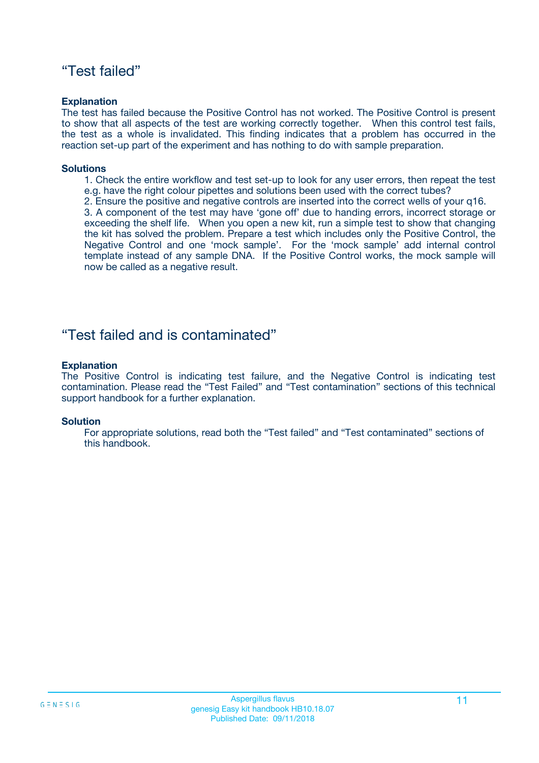### "Test failed"

#### **Explanation**

The test has failed because the Positive Control has not worked. The Positive Control is present to show that all aspects of the test are working correctly together. When this control test fails, the test as a whole is invalidated. This finding indicates that a problem has occurred in the reaction set-up part of the experiment and has nothing to do with sample preparation.

#### **Solutions**

- 1. Check the entire workflow and test set-up to look for any user errors, then repeat the test e.g. have the right colour pipettes and solutions been used with the correct tubes?
- 2. Ensure the positive and negative controls are inserted into the correct wells of your q16.

3. A component of the test may have 'gone off' due to handing errors, incorrect storage or exceeding the shelf life. When you open a new kit, run a simple test to show that changing the kit has solved the problem. Prepare a test which includes only the Positive Control, the Negative Control and one 'mock sample'. For the 'mock sample' add internal control template instead of any sample DNA. If the Positive Control works, the mock sample will now be called as a negative result.

### "Test failed and is contaminated"

#### **Explanation**

The Positive Control is indicating test failure, and the Negative Control is indicating test contamination. Please read the "Test Failed" and "Test contamination" sections of this technical support handbook for a further explanation.

#### **Solution**

For appropriate solutions, read both the "Test failed" and "Test contaminated" sections of this handbook.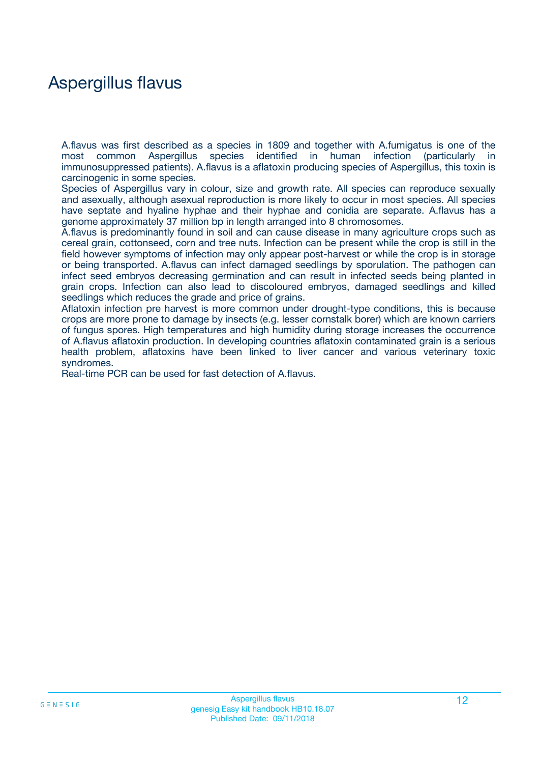### Aspergillus flavus

A.flavus was first described as a species in 1809 and together with A.fumigatus is one of the most common Aspergillus species identified in human infection (particularly in immunosuppressed patients). A.flavus is a aflatoxin producing species of Aspergillus, this toxin is carcinogenic in some species.

Species of Aspergillus vary in colour, size and growth rate. All species can reproduce sexually and asexually, although asexual reproduction is more likely to occur in most species. All species have septate and hyaline hyphae and their hyphae and conidia are separate. A.flavus has a genome approximately 37 million bp in length arranged into 8 chromosomes.

A.flavus is predominantly found in soil and can cause disease in many agriculture crops such as cereal grain, cottonseed, corn and tree nuts. Infection can be present while the crop is still in the field however symptoms of infection may only appear post-harvest or while the crop is in storage or being transported. A.flavus can infect damaged seedlings by sporulation. The pathogen can infect seed embryos decreasing germination and can result in infected seeds being planted in grain crops. Infection can also lead to discoloured embryos, damaged seedlings and killed seedlings which reduces the grade and price of grains.

Aflatoxin infection pre harvest is more common under drought-type conditions, this is because crops are more prone to damage by insects (e.g. lesser cornstalk borer) which are known carriers of fungus spores. High temperatures and high humidity during storage increases the occurrence of A.flavus aflatoxin production. In developing countries aflatoxin contaminated grain is a serious health problem, aflatoxins have been linked to liver cancer and various veterinary toxic syndromes.

Real-time PCR can be used for fast detection of A.flavus.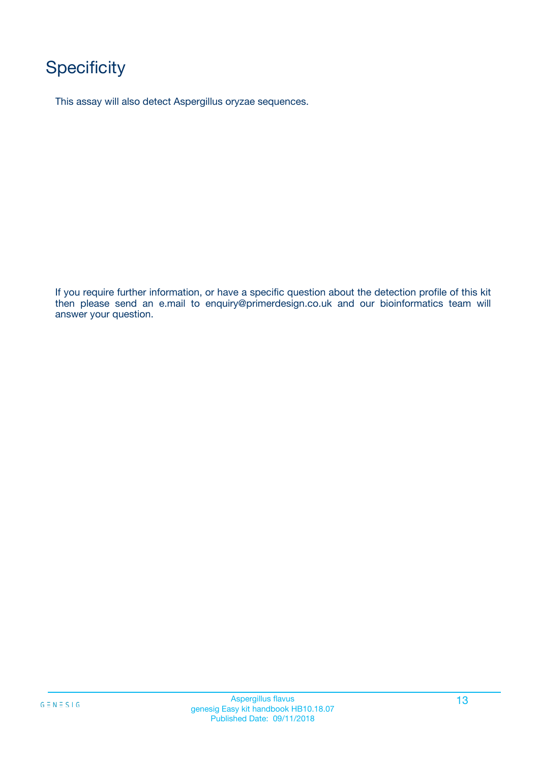# **Specificity**

This assay will also detect Aspergillus oryzae sequences.

If you require further information, or have a specific question about the detection profile of this kit then please send an e.mail to enquiry@primerdesign.co.uk and our bioinformatics team will answer your question.